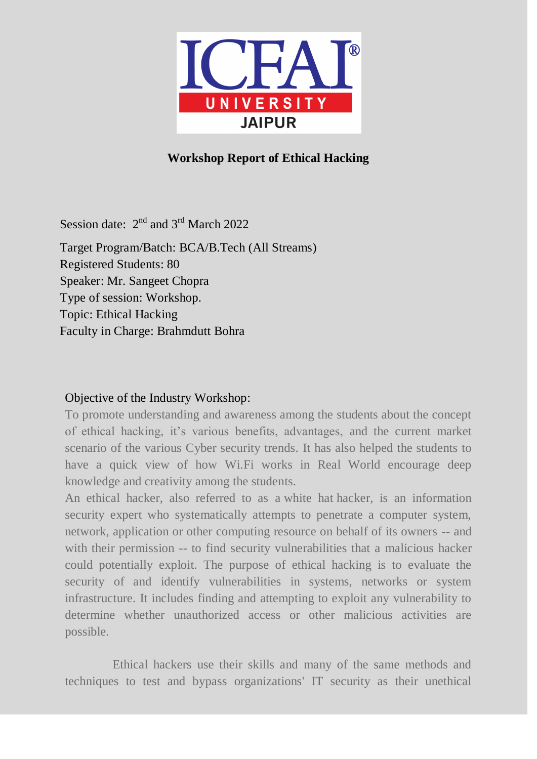

## **Workshop Report of Ethical Hacking**

Session date:  $2<sup>nd</sup>$  and  $3<sup>rd</sup>$  March 2022

Target Program/Batch: BCA/B.Tech (All Streams) Registered Students: 80 Speaker: Mr. Sangeet Chopra Type of session: Workshop. Topic: Ethical Hacking Faculty in Charge: Brahmdutt Bohra

## Objective of the Industry Workshop:

To promote understanding and awareness among the students about the concept of ethical hacking, it's various benefits, advantages, and the current market scenario of the various Cyber security trends. It has also helped the students to have a quick view of how Wi.Fi works in Real World encourage deep knowledge and creativity among the students.

An ethical hacker, also referred to as a white hat hacker, is an information security expert who systematically attempts to penetrate a computer system, network, application or other computing resource on behalf of its owners -- and with their permission -- to find security vulnerabilities that a malicious hacker could potentially exploit. The purpose of ethical hacking is to evaluate the security of and identify vulnerabilities in systems, networks or system infrastructure. It includes finding and attempting to exploit any vulnerability to determine whether unauthorized access or other malicious activities are possible.

 Ethical hackers use their skills and many of the same methods and techniques to test and bypass organizations' IT security as their unethical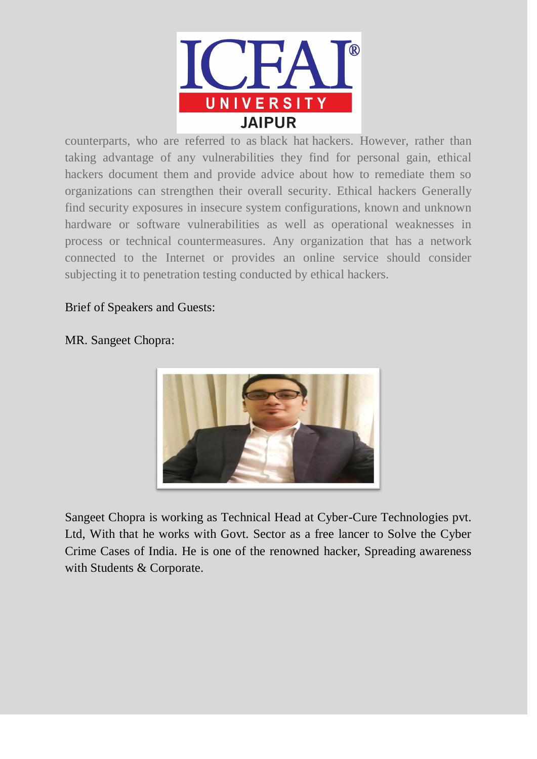

counterparts, who are referred to as black hat hackers. However, rather than taking advantage of any vulnerabilities they find for personal gain, ethical hackers document them and provide advice about how to remediate them so organizations can strengthen their overall security. Ethical hackers Generally find security exposures in insecure system configurations, known and unknown hardware or software vulnerabilities as well as operational weaknesses in process or technical countermeasures. Any organization that has a network connected to the Internet or provides an online service should consider subjecting it to penetration testing conducted by ethical hackers.

## Brief of Speakers and Guests:

## MR. Sangeet Chopra:



Sangeet Chopra is working as Technical Head at Cyber-Cure Technologies pvt. Ltd, With that he works with Govt. Sector as a free lancer to Solve the Cyber Crime Cases of India. He is one of the renowned hacker, Spreading awareness with Students & Corporate.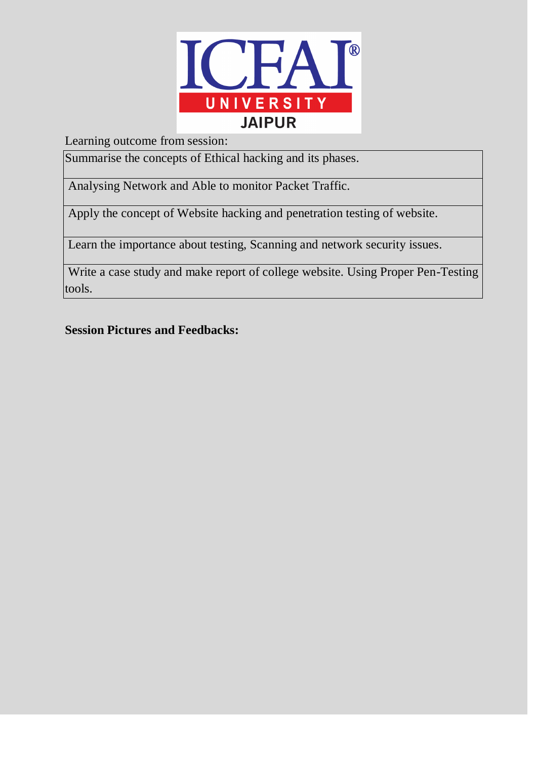

Learning outcome from session:

Summarise the concepts of Ethical hacking and its phases.

Analysing Network and Able to monitor Packet Traffic.

Apply the concept of Website hacking and penetration testing of website.

Learn the importance about testing, Scanning and network security issues.

Write a case study and make report of college website. Using Proper Pen-Testing tools.

**Session Pictures and Feedbacks:**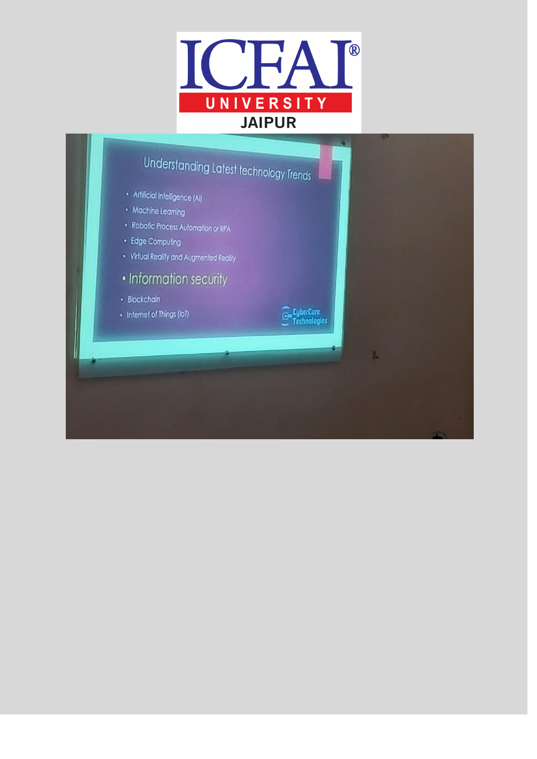

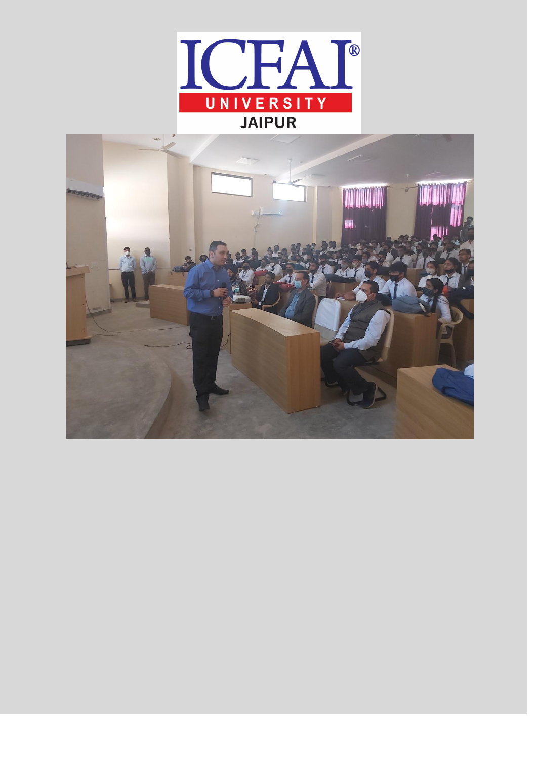

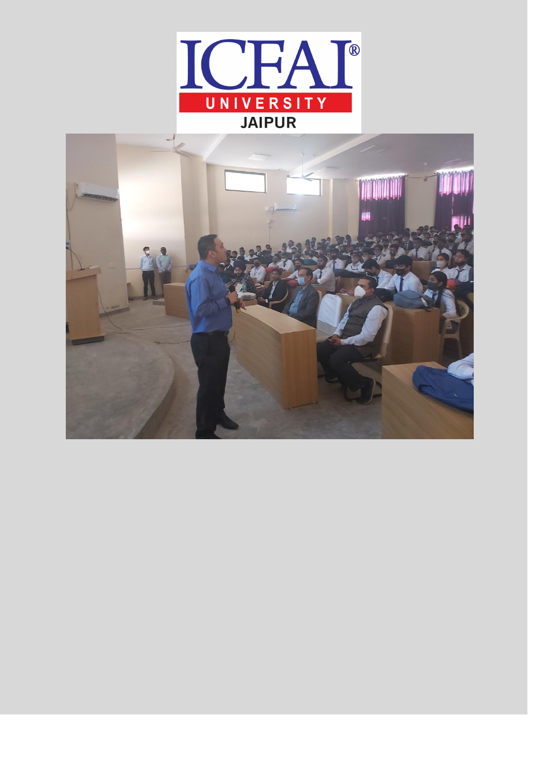

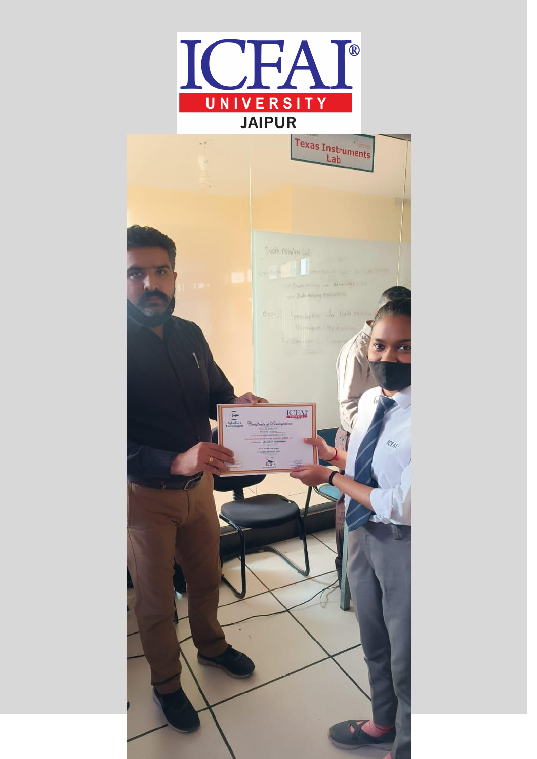

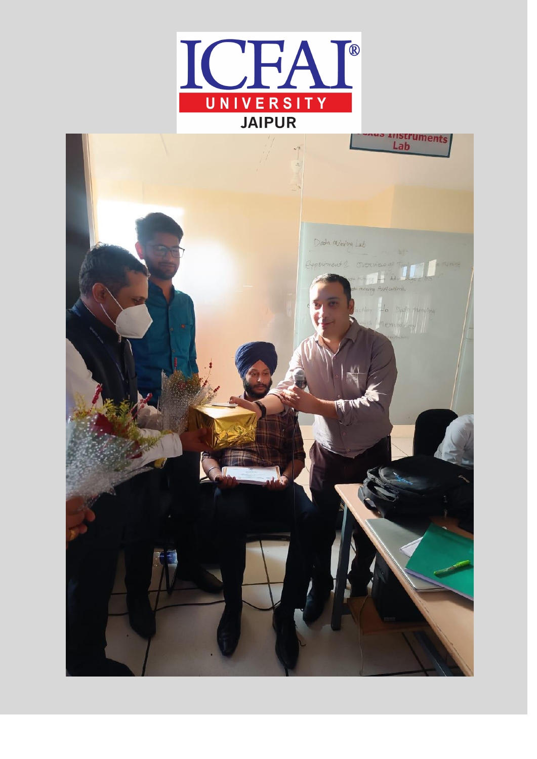

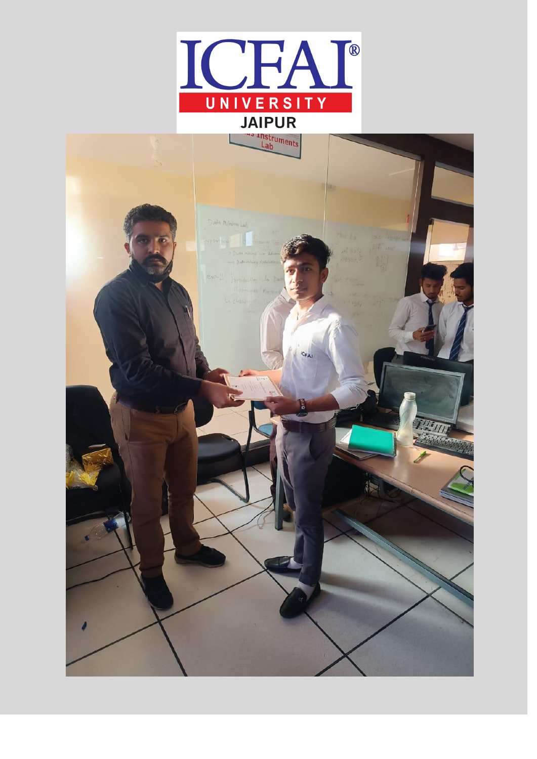